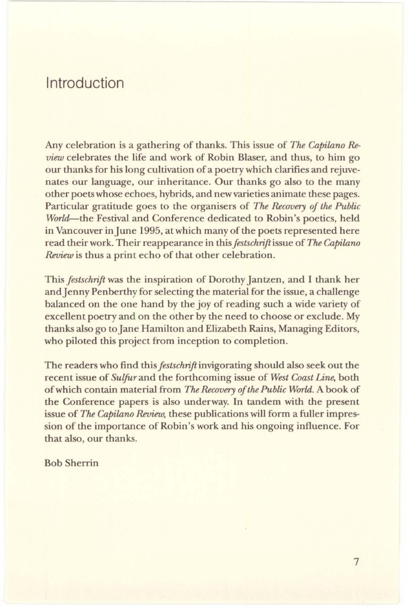## Introduction

Any celebration is a gathering of thanks. This issue of *The Capilano Review* celebrates the life and work of Robin Blaser, and thus, to him go our thanks for his long cultivation of a poetry which clarifies and rejuvenates our language, our inheritance. Our thanks go also to the many other poets whose echoes, hybrids, and new varieties animate these pages. Particular gratitude goes to the organisers of *The Recovery of the Public World--the* Festival and Conference dedicated to Robin's poetics, held in Vancouver in June 1995, at which many of the poets represented here read their work. Their reappearance in this *festschrift* issue of *The Capilano Review* is thus a print echo of that other celebration.

This *festschrift* was the inspiration of Dorothy Jantzen, and I thank her and Jenny Penberthy for selecting the material for the issue, a challenge balanced on the one hand by the joy of reading such a wide variety of excellent poetry and on the other by the need to choose or exclude. My thanks also go to Jane Hamilton and Elizabeth Rains, Managing Editors, who piloted this project from inception to completion.

The readers who find this *festschrift* invigorating should also seek out the recent issue of *Sulfur* and the forthcoming issue of *West Coast Line,* both of which contain material from *The Recovery of the Public World.* A book of the Conference papers is also underway. In tandem with the present issue of *The Capilano Review,* these publications will form a fuller impression of the importance of Robin's work and his ongoing influence. For that also, our thanks.

Bob Sherrin